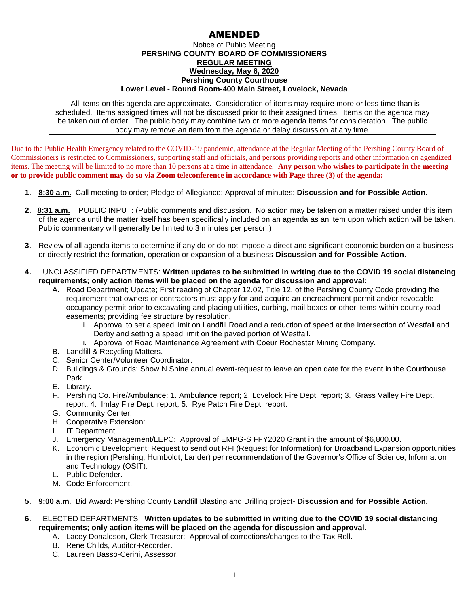## AMENDED

## Notice of Public Meeting **PERSHING COUNTY BOARD OF COMMISSIONERS REGULAR MEETING Wednesday, May 6, 2020 Pershing County Courthouse Lower Level - Round Room-400 Main Street, Lovelock, Nevada**

All items on this agenda are approximate. Consideration of items may require more or less time than is scheduled. Items assigned times will not be discussed prior to their assigned times. Items on the agenda may be taken out of order. The public body may combine two or more agenda items for consideration. The public body may remove an item from the agenda or delay discussion at any time.

Due to the Public Health Emergency related to the COVID-19 pandemic, attendance at the Regular Meeting of the Pershing County Board of Commissioners is restricted to Commissioners, supporting staff and officials, and persons providing reports and other information on agendized items. The meeting will be limited to no more than 10 persons at a time in attendance. **Any person who wishes to participate in the meeting or to provide public comment may do so via Zoom teleconference in accordance with Page three (3) of the agenda:** 

- **1. 8:30 a.m.** Call meeting to order; Pledge of Allegiance; Approval of minutes: **Discussion and for Possible Action**.
- **2. 8:31 a.m.** PUBLIC INPUT: (Public comments and discussion. No action may be taken on a matter raised under this item of the agenda until the matter itself has been specifically included on an agenda as an item upon which action will be taken. Public commentary will generally be limited to 3 minutes per person.)
- **3.** Review of all agenda items to determine if any do or do not impose a direct and significant economic burden on a business or directly restrict the formation, operation or expansion of a business-**Discussion and for Possible Action.**
- **4.** UNCLASSIFIED DEPARTMENTS: **Written updates to be submitted in writing due to the COVID 19 social distancing requirements; only action items will be placed on the agenda for discussion and approval:**
	- A. Road Department; Update; First reading of Chapter 12.02, Title 12, of the Pershing County Code providing the requirement that owners or contractors must apply for and acquire an encroachment permit and/or revocable occupancy permit prior to excavating and placing utilities, curbing, mail boxes or other items within county road easements; providing fee structure by resolution.
		- i. Approval to set a speed limit on Landfill Road and a reduction of speed at the Intersection of Westfall and Derby and setting a speed limit on the paved portion of Westfall.
		- ii. Approval of Road Maintenance Agreement with Coeur Rochester Mining Company.
	- B. Landfill & Recycling Matters.
	- C. Senior Center/Volunteer Coordinator.
	- D. Buildings & Grounds: Show N Shine annual event-request to leave an open date for the event in the Courthouse Park.
	- E. Library.
	- F. Pershing Co. Fire/Ambulance: 1. Ambulance report; 2. Lovelock Fire Dept. report; 3. Grass Valley Fire Dept. report; 4. Imlay Fire Dept. report; 5. Rye Patch Fire Dept. report.
	- G. Community Center.
	- H. Cooperative Extension:
	- I. IT Department.
	- J. Emergency Management/LEPC: Approval of EMPG-S FFY2020 Grant in the amount of \$6,800.00.
	- K. Economic Development; Request to send out RFI (Request for Information) for Broadband Expansion opportunities in the region (Pershing, Humboldt, Lander) per recommendation of the Governor's Office of Science, Information and Technology (OSIT).
	- L. Public Defender.
	- M. Code Enforcement.
- **5. 9:00 a.m**. Bid Award: Pershing County Landfill Blasting and Drilling project- **Discussion and for Possible Action.**
- **6.** ELECTED DEPARTMENTS: **Written updates to be submitted in writing due to the COVID 19 social distancing requirements; only action items will be placed on the agenda for discussion and approval.**
	- A. Lacey Donaldson, Clerk-Treasurer: Approval of corrections/changes to the Tax Roll.
	- B. Rene Childs, Auditor-Recorder.
	- C. Laureen Basso-Cerini, Assessor.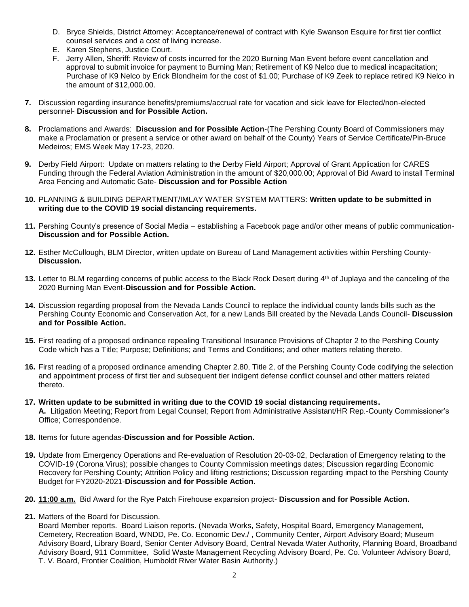- D. Bryce Shields, District Attorney: Acceptance/renewal of contract with Kyle Swanson Esquire for first tier conflict counsel services and a cost of living increase.
- E. Karen Stephens, Justice Court.
- F. Jerry Allen, Sheriff: Review of costs incurred for the 2020 Burning Man Event before event cancellation and approval to submit invoice for payment to Burning Man; Retirement of K9 Nelco due to medical incapacitation; Purchase of K9 Nelco by Erick Blondheim for the cost of \$1.00; Purchase of K9 Zeek to replace retired K9 Nelco in the amount of \$12,000.00.
- **7.** Discussion regarding insurance benefits/premiums/accrual rate for vacation and sick leave for Elected/non-elected personnel- **Discussion and for Possible Action.**
- **8.** Proclamations and Awards: **Discussion and for Possible Action**-(The Pershing County Board of Commissioners may make a Proclamation or present a service or other award on behalf of the County) Years of Service Certificate/Pin-Bruce Medeiros; EMS Week May 17-23, 2020.
- **9.** Derby Field Airport: Update on matters relating to the Derby Field Airport; Approval of Grant Application for CARES Funding through the Federal Aviation Administration in the amount of \$20,000.00; Approval of Bid Award to install Terminal Area Fencing and Automatic Gate- **Discussion and for Possible Action**
- **10.** PLANNING & BUILDING DEPARTMENT/IMLAY WATER SYSTEM MATTERS: **Written update to be submitted in writing due to the COVID 19 social distancing requirements.**
- **11.** Pershing County's presence of Social Media establishing a Facebook page and/or other means of public communication-**Discussion and for Possible Action.**
- **12.** Esther McCullough, BLM Director, written update on Bureau of Land Management activities within Pershing County-**Discussion.**
- **13.** Letter to BLM regarding concerns of public access to the Black Rock Desert during 4<sup>th</sup> of Juplaya and the canceling of the 2020 Burning Man Event-**Discussion and for Possible Action.**
- **14.** Discussion regarding proposal from the Nevada Lands Council to replace the individual county lands bills such as the Pershing County Economic and Conservation Act, for a new Lands Bill created by the Nevada Lands Council- **Discussion and for Possible Action.**
- **15.** First reading of a proposed ordinance repealing Transitional Insurance Provisions of Chapter 2 to the Pershing County Code which has a Title; Purpose; Definitions; and Terms and Conditions; and other matters relating thereto.
- **16.** First reading of a proposed ordinance amending Chapter 2.80, Title 2, of the Pershing County Code codifying the selection and appointment process of first tier and subsequent tier indigent defense conflict counsel and other matters related thereto.
- **17. Written update to be submitted in writing due to the COVID 19 social distancing requirements. A.** Litigation Meeting; Report from Legal Counsel; Report from Administrative Assistant/HR Rep.-County Commissioner's Office; Correspondence.
- **18.** Items for future agendas-**Discussion and for Possible Action.**
- **19.** Update from Emergency Operations and Re-evaluation of Resolution 20-03-02, Declaration of Emergency relating to the COVID-19 (Corona Virus); possible changes to County Commission meetings dates; Discussion regarding Economic Recovery for Pershing County; Attrition Policy and lifting restrictions; Discussion regarding impact to the Pershing County Budget for FY2020-2021-**Discussion and for Possible Action.**
- **20. 11:00 a.m.** Bid Award for the Rye Patch Firehouse expansion project- **Discussion and for Possible Action.**
- **21.** Matters of the Board for Discussion.

Board Member reports. Board Liaison reports. (Nevada Works, Safety, Hospital Board, Emergency Management, Cemetery, Recreation Board, WNDD, Pe. Co. Economic Dev./ , Community Center, Airport Advisory Board; Museum Advisory Board, Library Board, Senior Center Advisory Board, Central Nevada Water Authority, Planning Board, Broadband Advisory Board, 911 Committee, Solid Waste Management Recycling Advisory Board, Pe. Co. Volunteer Advisory Board, T. V. Board, Frontier Coalition, Humboldt River Water Basin Authority.)